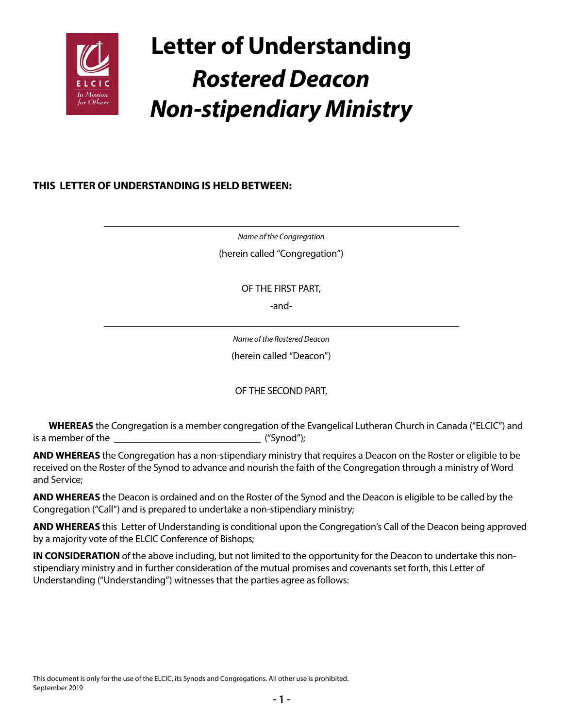

# **Letter of Understanding** *Rostered Deacon Non-stipendiary Ministry*

## **THIS LETTER OF UNDERSTANDING IS HELD BETWEEN:**

*Name of the Congregation* (herein called "Congregation")

OF THE FIRST PART,

-and-

*Name of the Rostered Deacon* (herein called "Deacon")

OF THE SECOND PART,

**WHEREAS** the Congregation is a member congregation of the Evangelical Lutheran Church in Canada ("ELCIC") and is a member of the ("Synod");

**AND WHEREAS** the Congregation has a non-stipendiary ministry that requires a Deacon on the Roster or eligible to be received on the Roster of the Synod to advance and nourish the faith of the Congregation through a ministry of Word and Service;

**AND WHEREAS** the Deacon is ordained and on the Roster of the Synod and the Deacon is eligible to be called by the Congregation ("Call") and is prepared to undertake a non-stipendiary ministry;

**AND WHEREAS** this Letter of Understanding is conditional upon the Congregation's Call of the Deacon being approved by a majority vote of the ELCIC Conference of Bishops;

**IN CONSIDERATION** of the above including, but not limited to the opportunity for the Deacon to undertake this nonstipendiary ministry and in further consideration of the mutual promises and covenants set forth, this Letter of Understanding ("Understanding") witnesses that the parties agree as follows: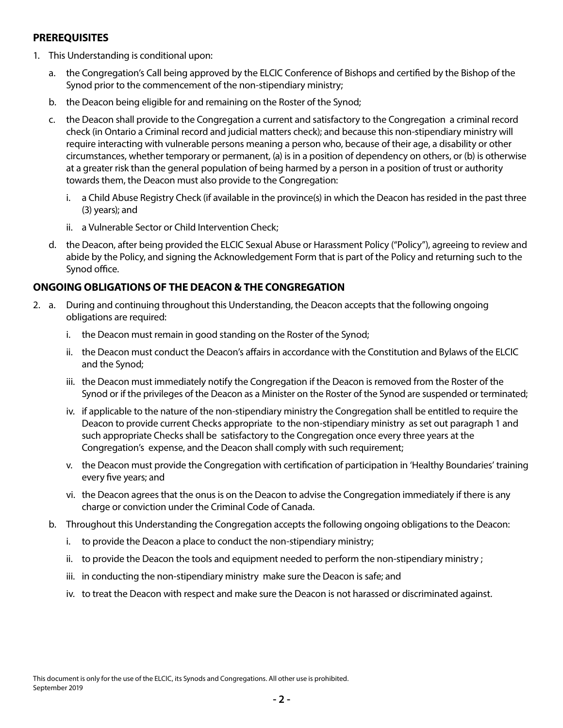#### **PREREQUISITES**

- 1. This Understanding is conditional upon:
	- a. the Congregation's Call being approved by the ELCIC Conference of Bishops and certified by the Bishop of the Synod prior to the commencement of the non-stipendiary ministry;
	- b. the Deacon being eligible for and remaining on the Roster of the Synod;
	- c. the Deacon shall provide to the Congregation a current and satisfactory to the Congregation a criminal record check (in Ontario a Criminal record and judicial matters check); and because this non-stipendiary ministry will require interacting with vulnerable persons meaning a person who, because of their age, a disability or other circumstances, whether temporary or permanent, (a) is in a position of dependency on others, or (b) is otherwise at a greater risk than the general population of being harmed by a person in a position of trust or authority towards them, the Deacon must also provide to the Congregation:
		- i. a Child Abuse Registry Check (if available in the province(s) in which the Deacon has resided in the past three (3) years); and
		- ii. a Vulnerable Sector or Child Intervention Check;
	- d. the Deacon, after being provided the ELCIC Sexual Abuse or Harassment Policy ("Policy"), agreeing to review and abide by the Policy, and signing the Acknowledgement Form that is part of the Policy and returning such to the Synod office.

## **ONGOING OBLIGATIONS OF THE DEACON & THE CONGREGATION**

- 2. a. During and continuing throughout this Understanding, the Deacon accepts that the following ongoing obligations are required:
	- i. the Deacon must remain in good standing on the Roster of the Synod;
	- ii. the Deacon must conduct the Deacon's affairs in accordance with the Constitution and Bylaws of the ELCIC and the Synod;
	- iii. the Deacon must immediately notify the Congregation if the Deacon is removed from the Roster of the Synod or if the privileges of the Deacon as a Minister on the Roster of the Synod are suspended or terminated;
	- iv. if applicable to the nature of the non-stipendiary ministry the Congregation shall be entitled to require the Deacon to provide current Checks appropriate to the non-stipendiary ministry as set out paragraph 1 and such appropriate Checks shall be satisfactory to the Congregation once every three years at the Congregation's expense, and the Deacon shall comply with such requirement;
	- v. the Deacon must provide the Congregation with certification of participation in 'Healthy Boundaries' training every five years; and
	- vi. the Deacon agrees that the onus is on the Deacon to advise the Congregation immediately if there is any charge or conviction under the Criminal Code of Canada.
	- b. Throughout this Understanding the Congregation accepts the following ongoing obligations to the Deacon:
		- i. to provide the Deacon a place to conduct the non-stipendiary ministry;
		- ii. to provide the Deacon the tools and equipment needed to perform the non-stipendiary ministry ;
		- iii. in conducting the non-stipendiary ministry make sure the Deacon is safe; and
		- iv. to treat the Deacon with respect and make sure the Deacon is not harassed or discriminated against.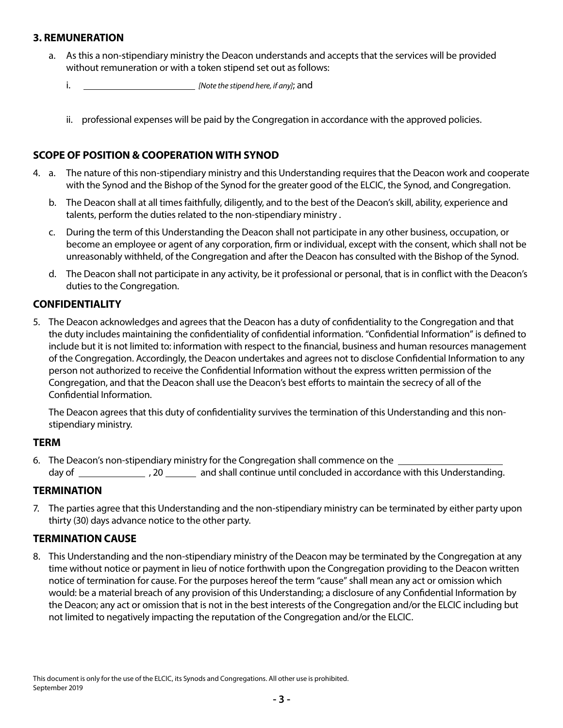#### **3. REMUNERATION**

- a. As this a non-stipendiary ministry the Deacon understands and accepts that the services will be provided without remuneration or with a token stipend set out as follows:
	- i. *[Note the stipend here, if any]*; and
	- ii. professional expenses will be paid by the Congregation in accordance with the approved policies.

## **SCOPE OF POSITION & COOPERATION WITH SYNOD**

- 4. a. The nature of this non-stipendiary ministry and this Understanding requires that the Deacon work and cooperate with the Synod and the Bishop of the Synod for the greater good of the ELCIC, the Synod, and Congregation.
	- b. The Deacon shall at all times faithfully, diligently, and to the best of the Deacon's skill, ability, experience and talents, perform the duties related to the non-stipendiary ministry .
	- c. During the term of this Understanding the Deacon shall not participate in any other business, occupation, or become an employee or agent of any corporation, firm or individual, except with the consent, which shall not be unreasonably withheld, of the Congregation and after the Deacon has consulted with the Bishop of the Synod.
	- d. The Deacon shall not participate in any activity, be it professional or personal, that is in conflict with the Deacon's duties to the Congregation.

#### **CONFIDENTIALITY**

5. The Deacon acknowledges and agrees that the Deacon has a duty of confidentiality to the Congregation and that the duty includes maintaining the confidentiality of confidential information. "Confidential Information" is defined to include but it is not limited to: information with respect to the financial, business and human resources management of the Congregation. Accordingly, the Deacon undertakes and agrees not to disclose Confidential Information to any person not authorized to receive the Confidential Information without the express written permission of the Congregation, and that the Deacon shall use the Deacon's best efforts to maintain the secrecy of all of the Confidential Information.

The Deacon agrees that this duty of confidentiality survives the termination of this Understanding and this nonstipendiary ministry.

#### **TERM**

6. The Deacon's non-stipendiary ministry for the Congregation shall commence on the day of , 20 and shall continue until concluded in accordance with this Understanding.

#### **TERMINATION**

7. The parties agree that this Understanding and the non-stipendiary ministry can be terminated by either party upon thirty (30) days advance notice to the other party.

## **TERMINATION CAUSE**

8. This Understanding and the non-stipendiary ministry of the Deacon may be terminated by the Congregation at any time without notice or payment in lieu of notice forthwith upon the Congregation providing to the Deacon written notice of termination for cause. For the purposes hereof the term "cause" shall mean any act or omission which would: be a material breach of any provision of this Understanding; a disclosure of any Confidential Information by the Deacon; any act or omission that is not in the best interests of the Congregation and/or the ELCIC including but not limited to negatively impacting the reputation of the Congregation and/or the ELCIC.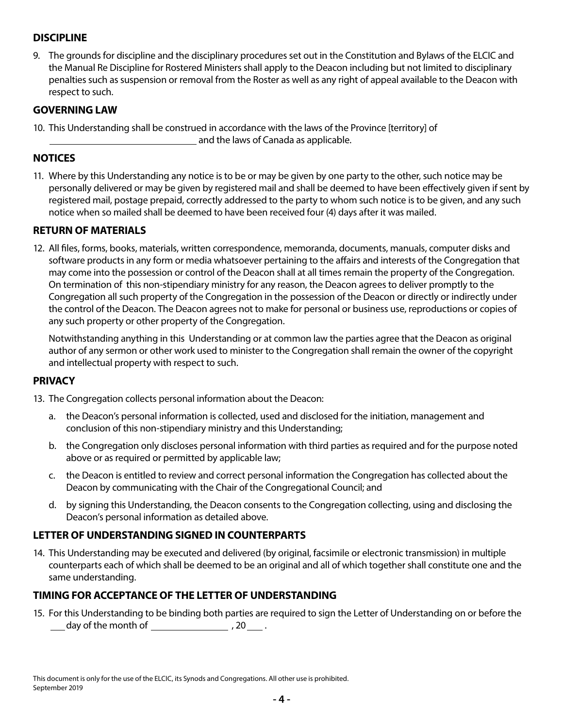## **DISCIPLINE**

9. The grounds for discipline and the disciplinary procedures set out in the Constitution and Bylaws of the ELCIC and the Manual Re Discipline for Rostered Ministers shall apply to the Deacon including but not limited to disciplinary penalties such as suspension or removal from the Roster as well as any right of appeal available to the Deacon with respect to such.

## **GOVERNING LAW**

10. This Understanding shall be construed in accordance with the laws of the Province [territory] of and the laws of Canada as applicable.

## **NOTICES**

11. Where by this Understanding any notice is to be or may be given by one party to the other, such notice may be personally delivered or may be given by registered mail and shall be deemed to have been effectively given if sent by registered mail, postage prepaid, correctly addressed to the party to whom such notice is to be given, and any such notice when so mailed shall be deemed to have been received four (4) days after it was mailed.

#### **RETURN OF MATERIALS**

12. All files, forms, books, materials, written correspondence, memoranda, documents, manuals, computer disks and software products in any form or media whatsoever pertaining to the affairs and interests of the Congregation that may come into the possession or control of the Deacon shall at all times remain the property of the Congregation. On termination of this non-stipendiary ministry for any reason, the Deacon agrees to deliver promptly to the Congregation all such property of the Congregation in the possession of the Deacon or directly or indirectly under the control of the Deacon. The Deacon agrees not to make for personal or business use, reproductions or copies of any such property or other property of the Congregation.

Notwithstanding anything in this Understanding or at common law the parties agree that the Deacon as original author of any sermon or other work used to minister to the Congregation shall remain the owner of the copyright and intellectual property with respect to such.

#### **PRIVACY**

- 13. The Congregation collects personal information about the Deacon:
	- a. the Deacon's personal information is collected, used and disclosed for the initiation, management and conclusion of this non-stipendiary ministry and this Understanding;
	- b. the Congregation only discloses personal information with third parties as required and for the purpose noted above or as required or permitted by applicable law;
	- c. the Deacon is entitled to review and correct personal information the Congregation has collected about the Deacon by communicating with the Chair of the Congregational Council; and
	- d. by signing this Understanding, the Deacon consents to the Congregation collecting, using and disclosing the Deacon's personal information as detailed above.

## **LETTER OF UNDERSTANDING SIGNED IN COUNTERPARTS**

14. This Understanding may be executed and delivered (by original, facsimile or electronic transmission) in multiple counterparts each of which shall be deemed to be an original and all of which together shall constitute one and the same understanding.

## **TIMING FOR ACCEPTANCE OF THE LETTER OF UNDERSTANDING**

15. For this Understanding to be binding both parties are required to sign the Letter of Understanding on or before the  $\frac{1}{2}$  day of the month of  $\frac{1}{2}$ , 20 .